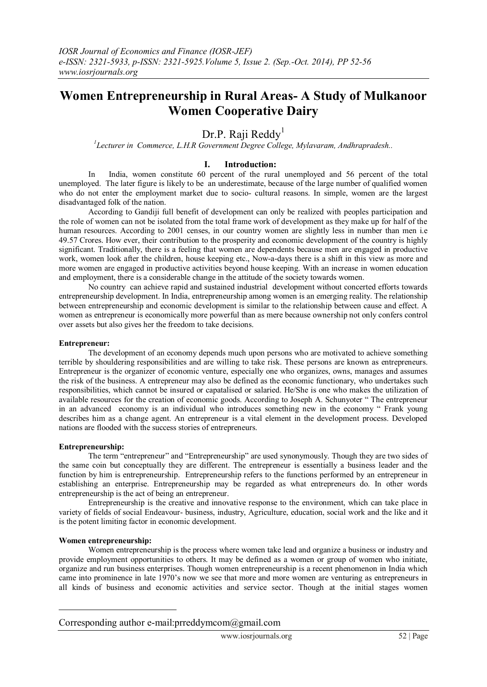# **Women Entrepreneurship in Rural Areas- A Study of Mulkanoor Women Cooperative Dairy**

# Dr.P. Raji Reddy<sup>1</sup>

#### *1 Lecturer in Commerce, L.H.R Government Degree College, Mylavaram, Andhrapradesh..*

## **I. Introduction:**

In India, women constitute 60 percent of the rural unemployed and 56 percent of the total unemployed. The later figure is likely to be an underestimate, because of the large number of qualified women who do not enter the employment market due to socio- cultural reasons. In simple, women are the largest disadvantaged folk of the nation.

According to Gandiji full benefit of development can only be realized with peoples participation and the role of women can not be isolated from the total frame work of development as they make up for half of the human resources. According to 2001 censes, in our country women are slightly less in number than men i.e. 49.57 Crores. How ever, their contribution to the prosperity and economic development of the country is highly significant. Traditionally, there is a feeling that women are dependents because men are engaged in productive work, women look after the children, house keeping etc., Now-a-days there is a shift in this view as more and more women are engaged in productive activities beyond house keeping. With an increase in women education and employment, there is a considerable change in the attitude of the society towards women.

No country can achieve rapid and sustained industrial development without concerted efforts towards entrepreneurship development. In India, entrepreneurship among women is an emerging reality. The relationship between entrepreneurship and economic development is similar to the relationship between cause and effect. A women as entrepreneur is economically more powerful than as mere because ownership not only confers control over assets but also gives her the freedom to take decisions.

#### **Entrepreneur:**

The development of an economy depends much upon persons who are motivated to achieve something terrible by shouldering responsibilities and are willing to take risk. These persons are known as entrepreneurs. Entrepreneur is the organizer of economic venture, especially one who organizes, owns, manages and assumes the risk of the business. A entrepreneur may also be defined as the economic functionary, who undertakes such responsibilities, which cannot be insured or capatalised or salaried. He/She is one who makes the utilization of available resources for the creation of economic goods. According to Joseph A. Schunyoter " The entrepreneur in an advanced economy is an individual who introduces something new in the economy " Frank young describes him as a change agent. An entrepreneur is a vital element in the development process. Developed nations are flooded with the success stories of entrepreneurs.

#### **Entrepreneurship:**

The term "entrepreneur" and "Entrepreneurship" are used synonymously. Though they are two sides of the same coin but conceptually they are different. The entrepreneur is essentially a business leader and the function by him is entrepreneurship. Entrepreneurship refers to the functions performed by an entrepreneur in establishing an enterprise. Entrepreneurship may be regarded as what entrepreneurs do. In other words entrepreneurship is the act of being an entrepreneur.

Entrepreneurship is the creative and innovative response to the environment, which can take place in variety of fields of social Endeavour- business, industry, Agriculture, education, social work and the like and it is the potent limiting factor in economic development.

#### **Women entrepreneurship:**

<u>.</u>

Women entrepreneurship is the process where women take lead and organize a business or industry and provide employment opportunities to others. It may be defined as a women or group of women who initiate, organize and run business enterprises. Though women entrepreneurship is a recent phenomenon in India which came into prominence in late 1970's now we see that more and more women are venturing as entrepreneurs in all kinds of business and economic activities and service sector. Though at the initial stages women

# Corresponding author e-mail:prreddymcom@gmail.com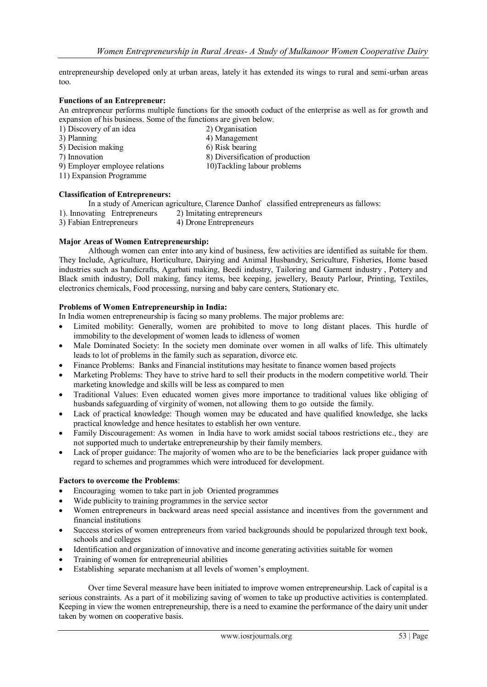entrepreneurship developed only at urban areas, lately it has extended its wings to rural and semi-urban areas too.

#### **Functions of an Entrepreneur:**

An entrepreneur performs multiple functions for the smooth coduct of the enterprise as well as for growth and expansion of his business. Some of the functions are given below.

1) Discovery of an idea 2) Organisation<br>3) Planning 4) Management

- 
- 
- 
- $\overline{4}$ ) Management 5) Decision making 6) Risk bearing 6) Risk bearing 7) Innovation 8) Diversification
	- 8) Diversification of production<br>10) Tackling labour problems
- $9$ ) Employer employee relations
- 11) Expansion Programme

#### **Classification of Entrepreneurs:**

In a study of American agriculture, Clarence Danhof classified entrepreneurs as fallows:

- 1). Innovating Entrepreneurs 2) Imitating entrepreneurs
- 3) Fabian Entrepreneurs 4) Drone Entrepreneurs

#### **Major Areas of Women Entrepreneurship:**

Although women can enter into any kind of business, few activities are identified as suitable for them. They Include, Agriculture, Horticulture, Dairying and Animal Husbandry, Sericulture, Fisheries, Home based industries such as handicrafts, Agarbati making, Beedi industry, Tailoring and Garment industry , Pottery and Black smith industry, Doll making, fancy items, bee keeping, jewellery, Beauty Parlour, Printing, Textiles, electronics chemicals, Food processing, nursing and baby care centers, Stationary etc.

# **Problems of Women Entrepreneurship in India:**

In India women entrepreneurship is facing so many problems. The major problems are:

- Limited mobility: Generally, women are prohibited to move to long distant places. This hurdle of immobility to the development of women leads to idleness of women
- Male Dominated Society: In the society men dominate over women in all walks of life. This ultimately leads to lot of problems in the family such as separation, divorce etc.
- Finance Problems: Banks and Financial institutions may hesitate to finance women based projects
- Marketing Problems: They have to strive hard to sell their products in the modern competitive world. Their marketing knowledge and skills will be less as compared to men
- Traditional Values: Even educated women gives more importance to traditional values like obliging of husbands safeguarding of virginity of women, not allowing them to go outside the family.
- Lack of practical knowledge: Though women may be educated and have qualified knowledge, she lacks practical knowledge and hence hesitates to establish her own venture.
- Family Discouragement: As women in India have to work amidst social taboos restrictions etc., they are not supported much to undertake entrepreneurship by their family members.
- Lack of proper guidance: The majority of women who are to be the beneficiaries lack proper guidance with regard to schemes and programmes which were introduced for development.

#### **Factors to overcome the Problems**:

- Encouraging women to take part in job Oriented programmes
- Wide publicity to training programmes in the service sector
- Women entrepreneurs in backward areas need special assistance and incentives from the government and financial institutions
- Success stories of women entrepreneurs from varied backgrounds should be popularized through text book, schools and colleges
- Identification and organization of innovative and income generating activities suitable for women
- Training of women for entrepreneurial abilities
- Establishing separate mechanism at all levels of women's employment.

Over time Several measure have been initiated to improve women entrepreneurship. Lack of capital is a serious constraints. As a part of it mobilizing saving of women to take up productive activities is contemplated. Keeping in view the women entrepreneurship, there is a need to examine the performance of the dairy unit under taken by women on cooperative basis.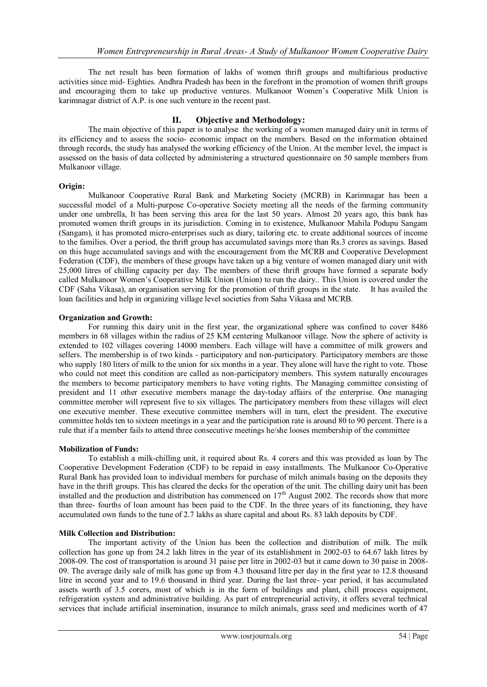The net result has been formation of lakhs of women thrift groups and multifarious productive activities since mid- Eighties. Andhra Pradesh has been in the forefront in the promotion of women thrift groups and encouraging them to take up productive ventures. Mulkanoor Women's Cooperative Milk Union is karimnagar district of A.P. is one such venture in the recent past.

# **II. Objective and Methodology:**

The main objective of this paper is to analyse the working of a women managed dairy unit in terms of its efficiency and to assess the socio- economic impact on the members. Based on the information obtained through records, the study has analysed the working efficiency of the Union. At the member level, the impact is assessed on the basis of data collected by administering a structured questionnaire on 50 sample members from Mulkanoor village.

#### **Origin:**

Mulkanoor Cooperative Rural Bank and Marketing Society (MCRB) in Karimnagar has been a successful model of a Multi-purpose Co-operative Society meeting all the needs of the farming community under one umbrella, It has been serving this area for the last 50 years. Almost 20 years ago, this bank has promoted women thrift groups in its jurisdiction. Coming in to existence, Mulkanoor Mahila Podupu Sangam (Sangam), it has promoted micro-enterprises such as diary, tailoring etc. to create additional sources of income to the families. Over a period, the thrift group has accumulated savings more than Rs.3 crores as savings. Based on this huge accumulated savings and with the encouragement from the MCRB and Cooperative Development Federation (CDF), the members of these groups have taken up a big venture of women managed diary unit with 25,000 litres of chilling capacity per day. The members of these thrift groups have formed a separate body called Mulkanoor Women's Cooperative Milk Union (Union) to run the dairy.. This Union is covered under the CDF (Saha Vikasa), an organisation serving for the promotion of thrift groups in the state. It has availed the loan facilities and help in organizing village level societies from Saha Vikasa and MCRB.

#### **Organization and Growth:**

For running this dairy unit in the first year, the organizational sphere was confined to cover 8486 members in 68 villages within the radius of 25 KM centering Mulkanoor village. Now the sphere of activity is extended to 102 villages covering 14000 members. Each village will have a committee of milk growers and sellers. The membership is of two kinds - participatory and non-participatory. Participatory members are those who supply 180 liters of milk to the union for six months in a year. They alone will have the right to vote. Those who could not meet this condition are called as non-participatory members. This system naturally encourages the members to become participatory members to have voting rights. The Managing committee consisting of president and 11 other executive members manage the day-today affairs of the enterprise. One managing committee member will represent five to six villages. The participatory members from these villages will elect one executive member. These executive committee members will in turn, elect the president. The executive committee holds ten to sixteen meetings in a year and the participation rate is around 80 to 90 percent. There is a rule that if a member fails to attend three consecutive meetings he/she looses membership of the committee

# **Mobilization of Funds:**

To establish a milk-chilling unit, it required about Rs. 4 corers and this was provided as loan by The Cooperative Development Federation (CDF) to be repaid in easy installments. The Mulkanoor Co-Operative Rural Bank has provided loan to individual members for purchase of milch animals basing on the deposits they have in the thrift groups. This has cleared the decks for the operation of the unit. The chilling dairy unit has been installed and the production and distribution has commenced on 17<sup>th</sup> August 2002. The records show that more than three- fourths of loan amount has been paid to the CDF. In the three years of its functioning, they have accumulated own funds to the tune of 2.7 lakhs as share capital and about Rs. 83 lakh deposits by CDF.

#### **Milk Collection and Distribution:**

The important activity of the Union has been the collection and distribution of milk. The milk collection has gone up from 24.2 lakh litres in the year of its establishment in 2002-03 to 64.67 lakh litres by 2008-09. The cost of transportation is around 31 paise per litre in 2002-03 but it came down to 30 paise in 2008- 09. The average daily sale of milk has gone up from 4.3 thousand litre per day in the first year to 12.8 thousand litre in second year and to 19.6 thousand in third year. During the last three- year period, it has accumulated assets worth of 3.5 corers, most of which is in the form of buildings and plant, chill process equipment, refrigeration system and administrative building. As part of entrepreneurial activity, it offers several technical services that include artificial insemination, insurance to milch animals, grass seed and medicines worth of 47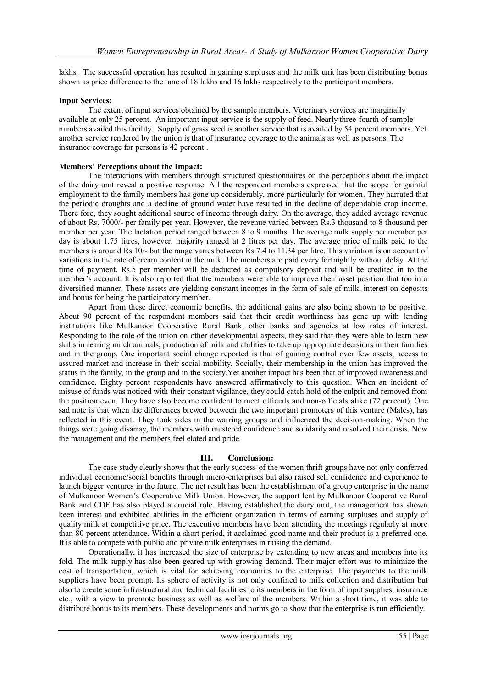lakhs. The successful operation has resulted in gaining surpluses and the milk unit has been distributing bonus shown as price difference to the tune of 18 lakhs and 16 lakhs respectively to the participant members.

## **Input Services:**

The extent of input services obtained by the sample members. Veterinary services are marginally available at only 25 percent. An important input service is the supply of feed. Nearly three-fourth of sample numbers availed this facility. Supply of grass seed is another service that is availed by 54 percent members. Yet another service rendered by the union is that of insurance coverage to the animals as well as persons. The insurance coverage for persons is 42 percent .

#### **Members' Perceptions about the Impact:**

The interactions with members through structured questionnaires on the perceptions about the impact of the dairy unit reveal a positive response. All the respondent members expressed that the scope for gainful employment to the family members has gone up considerably, more particularly for women. They narrated that the periodic droughts and a decline of ground water have resulted in the decline of dependable crop income. There fore, they sought additional source of income through dairy. On the average, they added average revenue of about Rs. 7000/- per family per year. However, the revenue varied between Rs.3 thousand to 8 thousand per member per year. The lactation period ranged between 8 to 9 months. The average milk supply per member per day is about 1.75 litres, however, majority ranged at 2 litres per day. The average price of milk paid to the members is around Rs.10/- but the range varies between Rs.7.4 to 11.34 per litre. This variation is on account of variations in the rate of cream content in the milk. The members are paid every fortnightly without delay. At the time of payment, Rs.5 per member will be deducted as compulsory deposit and will be credited in to the member's account. It is also reported that the members were able to improve their asset position that too in a diversified manner. These assets are yielding constant incomes in the form of sale of milk, interest on deposits and bonus for being the participatory member.

Apart from these direct economic benefits, the additional gains are also being shown to be positive. About 90 percent of the respondent members said that their credit worthiness has gone up with lending institutions like Mulkanoor Cooperative Rural Bank, other banks and agencies at low rates of interest. Responding to the role of the union on other developmental aspects, they said that they were able to learn new skills in rearing milch animals, production of milk and abilities to take up appropriate decisions in their families and in the group. One important social change reported is that of gaining control over few assets, access to assured market and increase in their social mobility. Socially, their membership in the union has improved the status in the family, in the group and in the society.Yet another impact has been that of improved awareness and confidence. Eighty percent respondents have answered affirmatively to this question. When an incident of misuse of funds was noticed with their constant vigilance, they could catch hold of the culprit and removed from the position even. They have also become confident to meet officials and non-officials alike (72 percent). One sad note is that when the differences brewed between the two important promoters of this venture (Males), has reflected in this event. They took sides in the warring groups and influenced the decision-making. When the things were going disarray, the members with mustered confidence and solidarity and resolved their crisis. Now the management and the members feel elated and pride.

# **III. Conclusion:**

The case study clearly shows that the early success of the women thrift groups have not only conferred individual economic/social benefits through micro-enterprises but also raised self confidence and experience to launch bigger ventures in the future. The net result has been the establishment of a group enterprise in the name of Mulkanoor Women's Cooperative Milk Union. However, the support lent by Mulkanoor Cooperative Rural Bank and CDF has also played a crucial role. Having established the dairy unit, the management has shown keen interest and exhibited abilities in the efficient organization in terms of earning surpluses and supply of quality milk at competitive price. The executive members have been attending the meetings regularly at more than 80 percent attendance. Within a short period, it acclaimed good name and their product is a preferred one. It is able to compete with public and private milk enterprises in raising the demand.

Operationally, it has increased the size of enterprise by extending to new areas and members into its fold. The milk supply has also been geared up with growing demand. Their major effort was to minimize the cost of transportation, which is vital for achieving economies to the enterprise. The payments to the milk suppliers have been prompt. Its sphere of activity is not only confined to milk collection and distribution but also to create some infrastructural and technical facilities to its members in the form of input supplies, insurance etc., with a view to promote business as well as welfare of the members. Within a short time, it was able to distribute bonus to its members. These developments and norms go to show that the enterprise is run efficiently.